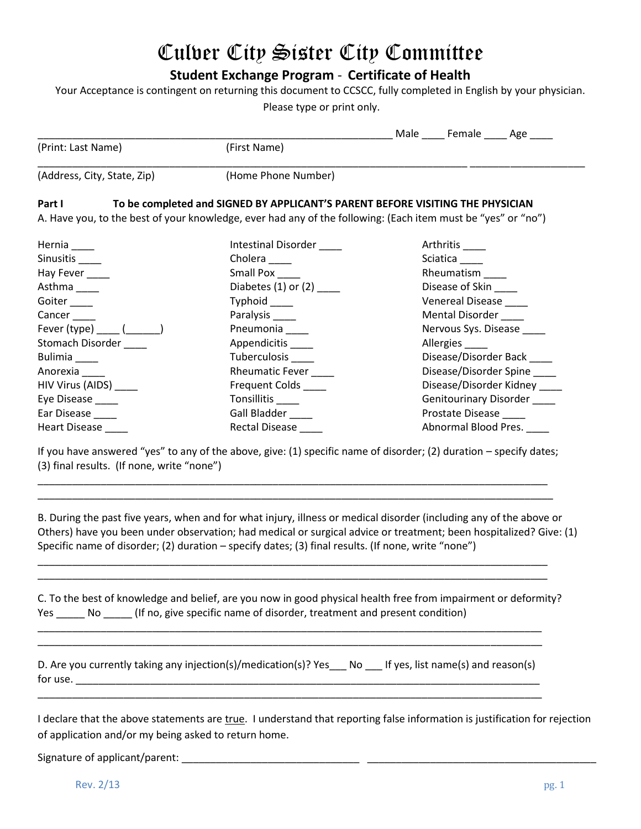# Culver City Sister City Committee

**Student Exchange Program** - **Certificate of Health**

Your Acceptance is contingent on returning this document to CCSCC, fully completed in English by your physician.

Please type or print only.

|                                                                      |                                                                                                              | Male _____ Female _____ Age ____ |                              |
|----------------------------------------------------------------------|--------------------------------------------------------------------------------------------------------------|----------------------------------|------------------------------|
| (Print: Last Name)                                                   | (First Name)                                                                                                 |                                  |                              |
| (Address, City, State, Zip)                                          | (Home Phone Number)                                                                                          |                                  |                              |
| Part I                                                               | To be completed and SIGNED BY APPLICANT'S PARENT BEFORE VISITING THE PHYSICIAN                               |                                  |                              |
|                                                                      | A. Have you, to the best of your knowledge, ever had any of the following: (Each item must be "yes" or "no") |                                  |                              |
| Hernia $\_\_\_\_\_\$                                                 | Intestinal Disorder                                                                                          | Arthritis____                    |                              |
| Sinusitis ______                                                     | Cholera _____                                                                                                | Sciatica                         |                              |
| Hay Fever ____                                                       | Small Pox                                                                                                    | Rheumatism                       |                              |
| Asthma                                                               | Diabetes (1) or (2) $\_\_\_\_\_\_\_\_\$                                                                      | Disease of Skin                  |                              |
| Goiter                                                               | Typhoid _____                                                                                                | <b>Venereal Disease</b>          |                              |
| Cancer                                                               | Paralysis _____                                                                                              | Mental Disorder                  |                              |
| Fever (type) $\frac{(\qquad \qquad \qquad)}{(\qquad \qquad \qquad)}$ | Pneumonia                                                                                                    | Nervous Sys. Disease             |                              |
| Stomach Disorder                                                     | Appendicitis _____                                                                                           | Allergies                        |                              |
| Bulimia                                                              | Tuberculosis _____                                                                                           | Disease/Disorder Back            |                              |
| Anorexia                                                             | Rheumatic Fever                                                                                              | Disease/Disorder Spine           |                              |
| HIV Virus (AIDS) _____                                               | Frequent Colds _____                                                                                         |                                  | Disease/Disorder Kidney ____ |
| Eye Disease _____                                                    | Tonsillitis                                                                                                  |                                  | Genitourinary Disorder ____  |
| Ear Disease ____                                                     | Gall Bladder ____                                                                                            | Prostate Disease ____            |                              |

If you have answered "yes" to any of the above, give: (1) specific name of disorder; (2) duration – specify dates; (3) final results. (If none, write "none")

\_\_\_\_\_\_\_\_\_\_\_\_\_\_\_\_\_\_\_\_\_\_\_\_\_\_\_\_\_\_\_\_\_\_\_\_\_\_\_\_\_\_\_\_\_\_\_\_\_\_\_\_\_\_\_\_\_\_\_\_\_\_\_\_\_\_\_\_\_\_\_\_\_\_\_\_\_\_\_\_\_\_\_\_\_\_\_\_\_ \_\_\_\_\_\_\_\_\_\_\_\_\_\_\_\_\_\_\_\_\_\_\_\_\_\_\_\_\_\_\_\_\_\_\_\_\_\_\_\_\_\_\_\_\_\_\_\_\_\_\_\_\_\_\_\_\_\_\_\_\_\_\_\_\_\_\_\_\_\_\_\_\_\_\_\_\_\_\_\_\_\_\_\_\_\_\_\_\_\_

\_\_\_\_\_\_\_\_\_\_\_\_\_\_\_\_\_\_\_\_\_\_\_\_\_\_\_\_\_\_\_\_\_\_\_\_\_\_\_\_\_\_\_\_\_\_\_\_\_\_\_\_\_\_\_\_\_\_\_\_\_\_\_\_\_\_\_\_\_\_\_\_\_\_\_\_\_\_\_\_\_\_\_\_\_\_\_\_\_ \_\_\_\_\_\_\_\_\_\_\_\_\_\_\_\_\_\_\_\_\_\_\_\_\_\_\_\_\_\_\_\_\_\_\_\_\_\_\_\_\_\_\_\_\_\_\_\_\_\_\_\_\_\_\_\_\_\_\_\_\_\_\_\_\_\_\_\_\_\_\_\_\_\_\_\_\_\_\_\_\_\_\_\_\_\_\_\_\_

Heart Disease \_\_\_\_ Rectal Disease \_\_\_\_ Abnormal Blood Pres. \_\_\_\_

B. During the past five years, when and for what injury, illness or medical disorder (including any of the above or Others) have you been under observation; had medical or surgical advice or treatment; been hospitalized? Give: (1) Specific name of disorder; (2) duration – specify dates; (3) final results. (If none, write "none")

C. To the best of knowledge and belief, are you now in good physical health free from impairment or deformity? Yes \_\_\_\_\_ No \_\_\_\_\_ (If no, give specific name of disorder, treatment and present condition)

|          | D. Are you currently taking any injection(s)/medication(s)? Yes __ No __ If yes, list name(s) and reason(s) |  |
|----------|-------------------------------------------------------------------------------------------------------------|--|
| for use. |                                                                                                             |  |

\_\_\_\_\_\_\_\_\_\_\_\_\_\_\_\_\_\_\_\_\_\_\_\_\_\_\_\_\_\_\_\_\_\_\_\_\_\_\_\_\_\_\_\_\_\_\_\_\_\_\_\_\_\_\_\_\_\_\_\_\_\_\_\_\_\_\_\_\_\_\_\_\_\_\_\_\_\_\_\_\_\_\_\_\_\_\_\_

\_\_\_\_\_\_\_\_\_\_\_\_\_\_\_\_\_\_\_\_\_\_\_\_\_\_\_\_\_\_\_\_\_\_\_\_\_\_\_\_\_\_\_\_\_\_\_\_\_\_\_\_\_\_\_\_\_\_\_\_\_\_\_\_\_\_\_\_\_\_\_\_\_\_\_\_\_\_\_\_\_\_\_\_\_\_\_\_ \_\_\_\_\_\_\_\_\_\_\_\_\_\_\_\_\_\_\_\_\_\_\_\_\_\_\_\_\_\_\_\_\_\_\_\_\_\_\_\_\_\_\_\_\_\_\_\_\_\_\_\_\_\_\_\_\_\_\_\_\_\_\_\_\_\_\_\_\_\_\_\_\_\_\_\_\_\_\_\_\_\_\_\_\_\_\_\_

I declare that the above statements are true. I understand that reporting false information is justification for rejection of application and/or my being asked to return home.

Signature of applicant/parent: \_\_\_\_\_\_\_\_\_\_\_\_\_\_\_\_\_\_\_\_\_\_\_\_\_\_\_\_\_\_\_ \_\_\_\_\_\_\_\_\_\_\_\_\_\_\_\_\_\_\_\_\_\_\_\_\_\_\_\_\_\_\_\_\_\_\_\_\_\_\_\_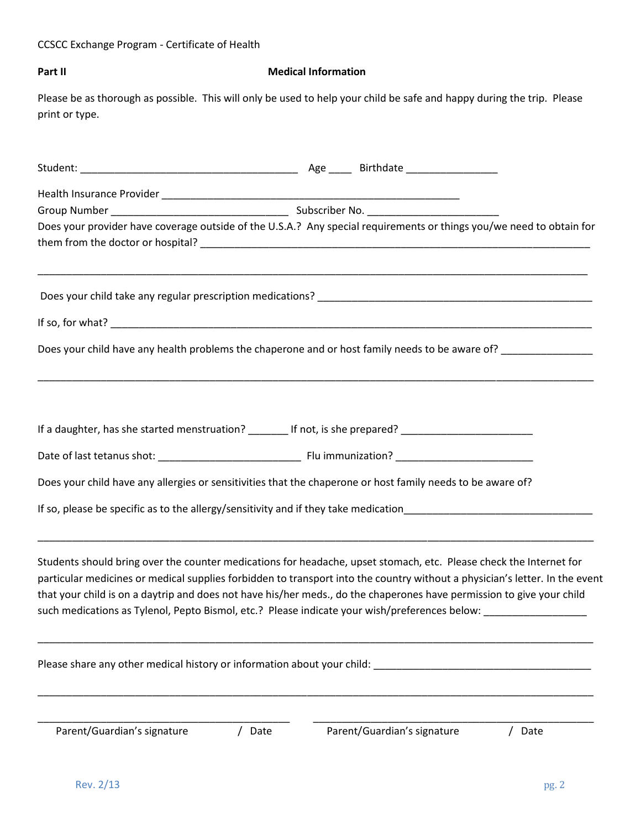# CCSCC Exchange Program - Certificate of Health

### **Part II** Medical Information

Please be as thorough as possible. This will only be used to help your child be safe and happy during the trip. Please print or type.

| Does your provider have coverage outside of the U.S.A.? Any special requirements or things you/we need to obtain for                                                                                                                                                                                                                                                                                                                                                                         |      |                             |      |
|----------------------------------------------------------------------------------------------------------------------------------------------------------------------------------------------------------------------------------------------------------------------------------------------------------------------------------------------------------------------------------------------------------------------------------------------------------------------------------------------|------|-----------------------------|------|
|                                                                                                                                                                                                                                                                                                                                                                                                                                                                                              |      |                             |      |
|                                                                                                                                                                                                                                                                                                                                                                                                                                                                                              |      |                             |      |
|                                                                                                                                                                                                                                                                                                                                                                                                                                                                                              |      |                             |      |
| Does your child have any health problems the chaperone and or host family needs to be aware of? _____________                                                                                                                                                                                                                                                                                                                                                                                |      |                             |      |
| If a daughter, has she started menstruation? _______ If not, is she prepared? ____________________________                                                                                                                                                                                                                                                                                                                                                                                   |      |                             |      |
|                                                                                                                                                                                                                                                                                                                                                                                                                                                                                              |      |                             |      |
| Does your child have any allergies or sensitivities that the chaperone or host family needs to be aware of?                                                                                                                                                                                                                                                                                                                                                                                  |      |                             |      |
|                                                                                                                                                                                                                                                                                                                                                                                                                                                                                              |      |                             |      |
| Students should bring over the counter medications for headache, upset stomach, etc. Please check the Internet for<br>particular medicines or medical supplies forbidden to transport into the country without a physician's letter. In the event<br>that your child is on a daytrip and does not have his/her meds., do the chaperones have permission to give your child<br>such medications as Tylenol, Pepto Bismol, etc.? Please indicate your wish/preferences below: ________________ |      |                             |      |
| Please share any other medical history or information about your child:                                                                                                                                                                                                                                                                                                                                                                                                                      |      |                             |      |
| Parent/Guardian's signature                                                                                                                                                                                                                                                                                                                                                                                                                                                                  | Date | Parent/Guardian's signature | Date |